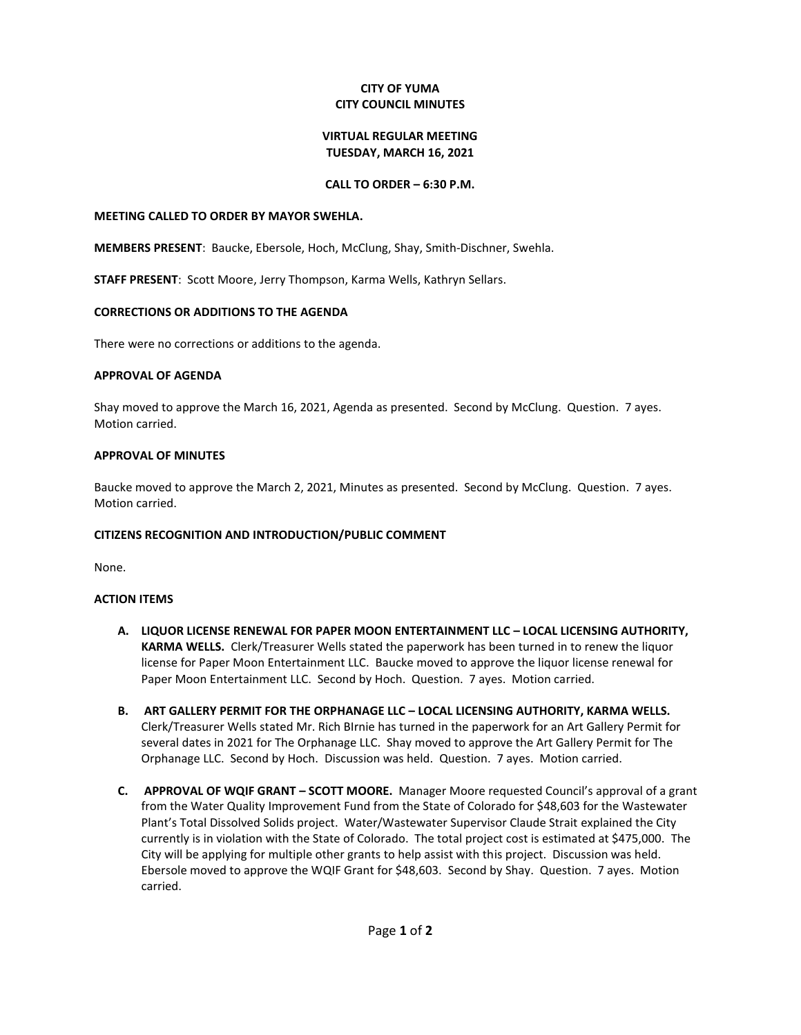### **CITY OF YUMA CITY COUNCIL MINUTES**

#### **VIRTUAL REGULAR MEETING TUESDAY, MARCH 16, 2021**

## **CALL TO ORDER – 6:30 P.M.**

#### **MEETING CALLED TO ORDER BY MAYOR SWEHLA.**

**MEMBERS PRESENT**: Baucke, Ebersole, Hoch, McClung, Shay, Smith-Dischner, Swehla.

**STAFF PRESENT**: Scott Moore, Jerry Thompson, Karma Wells, Kathryn Sellars.

### **CORRECTIONS OR ADDITIONS TO THE AGENDA**

There were no corrections or additions to the agenda.

## **APPROVAL OF AGENDA**

Shay moved to approve the March 16, 2021, Agenda as presented. Second by McClung. Question. 7 ayes. Motion carried.

## **APPROVAL OF MINUTES**

Baucke moved to approve the March 2, 2021, Minutes as presented. Second by McClung. Question. 7 ayes. Motion carried.

# **CITIZENS RECOGNITION AND INTRODUCTION/PUBLIC COMMENT**

None.

# **ACTION ITEMS**

- **A. LIQUOR LICENSE RENEWAL FOR PAPER MOON ENTERTAINMENT LLC – LOCAL LICENSING AUTHORITY, KARMA WELLS.** Clerk/Treasurer Wells stated the paperwork has been turned in to renew the liquor license for Paper Moon Entertainment LLC. Baucke moved to approve the liquor license renewal for Paper Moon Entertainment LLC. Second by Hoch. Question. 7 ayes. Motion carried.
- **B. ART GALLERY PERMIT FOR THE ORPHANAGE LLC – LOCAL LICENSING AUTHORITY, KARMA WELLS.**  Clerk/Treasurer Wells stated Mr. Rich BIrnie has turned in the paperwork for an Art Gallery Permit for several dates in 2021 for The Orphanage LLC. Shay moved to approve the Art Gallery Permit for The Orphanage LLC. Second by Hoch. Discussion was held. Question. 7 ayes. Motion carried.
- **C. APPROVAL OF WQIF GRANT – SCOTT MOORE.** Manager Moore requested Council's approval of a grant from the Water Quality Improvement Fund from the State of Colorado for \$48,603 for the Wastewater Plant's Total Dissolved Solids project. Water/Wastewater Supervisor Claude Strait explained the City currently is in violation with the State of Colorado. The total project cost is estimated at \$475,000. The City will be applying for multiple other grants to help assist with this project. Discussion was held. Ebersole moved to approve the WQIF Grant for \$48,603. Second by Shay. Question. 7 ayes. Motion carried.